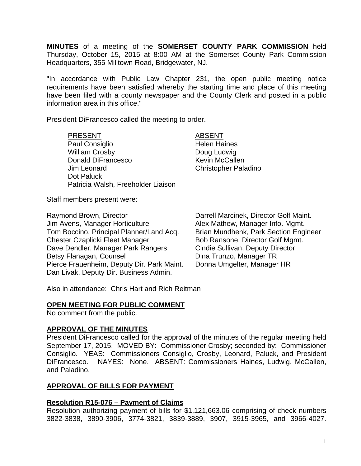**MINUTES** of a meeting of the **SOMERSET COUNTY PARK COMMISSION** held Thursday, October 15, 2015 at 8:00 AM at the Somerset County Park Commission Headquarters, 355 Milltown Road, Bridgewater, NJ.

"In accordance with Public Law Chapter 231, the open public meeting notice requirements have been satisfied whereby the starting time and place of this meeting have been filed with a county newspaper and the County Clerk and posted in a public information area in this office."

President DiFrancesco called the meeting to order.

#### PRESENT ABSENT

Paul Consiglio **Helen Haines** William Crosby **Doug Ludwig** Donald DiFrancesco Kevin McCallen Jim Leonard Christopher Paladino Dot Paluck Patricia Walsh, Freeholder Liaison

Staff members present were:

Raymond Brown, Director **National Concelling Control** Darrell Marcinek, Director Golf Maint.<br>
Jim Avens, Manager Horticulture **Darrell Alex Mathew, Manager Info. Mgmt.** Jim Avens, Manager Horticulture Tom Boccino, Principal Planner/Land Acq. Brian Mundhenk, Park Section Engineer Chester Czaplicki Fleet Manager Bob Ransone, Director Golf Mgmt. Dave Dendler, Manager Park Rangers Cindie Sullivan, Deputy Director Betsy Flanagan, Counsel **Dina Trunzo, Manager TR** Pierce Frauenheim, Deputy Dir. Park Maint. Donna Umgelter, Manager HR Dan Livak, Deputy Dir. Business Admin.

Also in attendance: Chris Hart and Rich Reitman

### **OPEN MEETING FOR PUBLIC COMMENT**

No comment from the public.

### **APPROVAL OF THE MINUTES**

President DiFrancesco called for the approval of the minutes of the regular meeting held September 17, 2015. MOVED BY: Commissioner Crosby; seconded by: Commissioner Consiglio. YEAS: Commissioners Consiglio, Crosby, Leonard, Paluck, and President DiFrancesco. NAYES: None. ABSENT: Commissioners Haines, Ludwig, McCallen, and Paladino.

### **APPROVAL OF BILLS FOR PAYMENT**

### **Resolution R15-076 – Payment of Claims**

Resolution authorizing payment of bills for \$1,121,663.06 comprising of check numbers 3822-3838, 3890-3906, 3774-3821, 3839-3889, 3907, 3915-3965, and 3966-4027.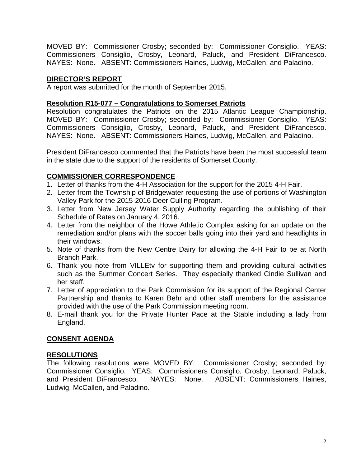MOVED BY: Commissioner Crosby; seconded by: Commissioner Consiglio. YEAS: Commissioners Consiglio, Crosby, Leonard, Paluck, and President DiFrancesco. NAYES: None. ABSENT: Commissioners Haines, Ludwig, McCallen, and Paladino.

# **DIRECTOR'S REPORT**

A report was submitted for the month of September 2015.

## **Resolution R15-077 – Congratulations to Somerset Patriots**

Resolution congratulates the Patriots on the 2015 Atlantic League Championship. MOVED BY: Commissioner Crosby; seconded by: Commissioner Consiglio. YEAS: Commissioners Consiglio, Crosby, Leonard, Paluck, and President DiFrancesco. NAYES: None. ABSENT: Commissioners Haines, Ludwig, McCallen, and Paladino.

President DiFrancesco commented that the Patriots have been the most successful team in the state due to the support of the residents of Somerset County.

# **COMMISSIONER CORRESPONDENCE**

- 1. Letter of thanks from the 4-H Association for the support for the 2015 4-H Fair.
- 2. Letter from the Township of Bridgewater requesting the use of portions of Washington Valley Park for the 2015-2016 Deer Culling Program.
- 3. Letter from New Jersey Water Supply Authority regarding the publishing of their Schedule of Rates on January 4, 2016.
- 4. Letter from the neighbor of the Howe Athletic Complex asking for an update on the remediation and/or plans with the soccer balls going into their yard and headlights in their windows.
- 5. Note of thanks from the New Centre Dairy for allowing the 4-H Fair to be at North Branch Park.
- 6. Thank you note from VILLEtv for supporting them and providing cultural activities such as the Summer Concert Series. They especially thanked Cindie Sullivan and her staff.
- 7. Letter of appreciation to the Park Commission for its support of the Regional Center Partnership and thanks to Karen Behr and other staff members for the assistance provided with the use of the Park Commission meeting room.
- 8. E-mail thank you for the Private Hunter Pace at the Stable including a lady from England.

## **CONSENT AGENDA**

## **RESOLUTIONS**

The following resolutions were MOVED BY: Commissioner Crosby; seconded by: Commissioner Consiglio. YEAS: Commissioners Consiglio, Crosby, Leonard, Paluck, and President DiFrancesco. NAYES: None. ABSENT: Commissioners Haines, Ludwig, McCallen, and Paladino.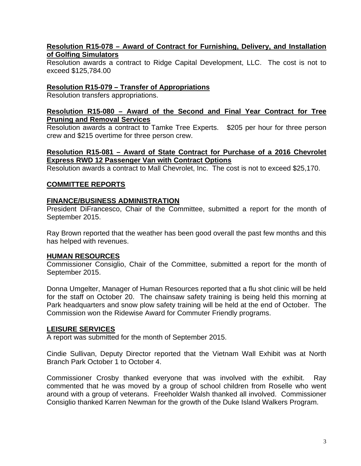### **Resolution R15-078 – Award of Contract for Furnishing, Delivery, and Installation of Golfing Simulators**

Resolution awards a contract to Ridge Capital Development, LLC. The cost is not to exceed \$125,784.00

## **Resolution R15-079 – Transfer of Appropriations**

Resolution transfers appropriations.

### **Resolution R15-080 – Award of the Second and Final Year Contract for Tree Pruning and Removal Services**

Resolution awards a contract to Tamke Tree Experts. \$205 per hour for three person crew and \$215 overtime for three person crew.

## **Resolution R15-081 – Award of State Contract for Purchase of a 2016 Chevrolet Express RWD 12 Passenger Van with Contract Options**

Resolution awards a contract to Mall Chevrolet, Inc. The cost is not to exceed \$25,170.

### **COMMITTEE REPORTS**

### **FINANCE/BUSINESS ADMINISTRATION**

President DiFrancesco, Chair of the Committee, submitted a report for the month of September 2015.

Ray Brown reported that the weather has been good overall the past few months and this has helped with revenues.

### **HUMAN RESOURCES**

Commissioner Consiglio, Chair of the Committee, submitted a report for the month of September 2015.

Donna Umgelter, Manager of Human Resources reported that a flu shot clinic will be held for the staff on October 20. The chainsaw safety training is being held this morning at Park headquarters and snow plow safety training will be held at the end of October. The Commission won the Ridewise Award for Commuter Friendly programs.

### **LEISURE SERVICES**

A report was submitted for the month of September 2015.

Cindie Sullivan, Deputy Director reported that the Vietnam Wall Exhibit was at North Branch Park October 1 to October 4.

Commissioner Crosby thanked everyone that was involved with the exhibit. Ray commented that he was moved by a group of school children from Roselle who went around with a group of veterans. Freeholder Walsh thanked all involved. Commissioner Consiglio thanked Karren Newman for the growth of the Duke Island Walkers Program.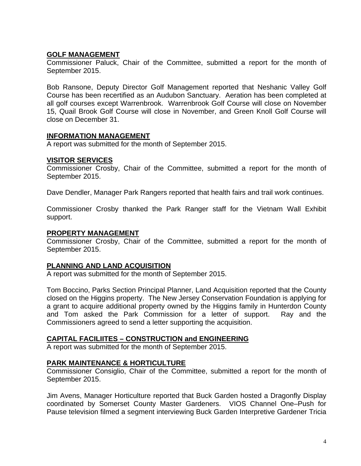# **GOLF MANAGEMENT**

Commissioner Paluck, Chair of the Committee, submitted a report for the month of September 2015.

Bob Ransone, Deputy Director Golf Management reported that Neshanic Valley Golf Course has been recertified as an Audubon Sanctuary. Aeration has been completed at all golf courses except Warrenbrook. Warrenbrook Golf Course will close on November 15, Quail Brook Golf Course will close in November, and Green Knoll Golf Course will close on December 31.

### **INFORMATION MANAGEMENT**

A report was submitted for the month of September 2015.

### **VISITOR SERVICES**

Commissioner Crosby, Chair of the Committee, submitted a report for the month of September 2015.

Dave Dendler, Manager Park Rangers reported that health fairs and trail work continues.

Commissioner Crosby thanked the Park Ranger staff for the Vietnam Wall Exhibit support.

### **PROPERTY MANAGEMENT**

Commissioner Crosby, Chair of the Committee, submitted a report for the month of September 2015.

### **PLANNING AND LAND ACQUISITION**

A report was submitted for the month of September 2015.

Tom Boccino, Parks Section Principal Planner, Land Acquisition reported that the County closed on the Higgins property. The New Jersey Conservation Foundation is applying for a grant to acquire additional property owned by the Higgins family in Hunterdon County and Tom asked the Park Commission for a letter of support. Ray and the Commissioners agreed to send a letter supporting the acquisition.

### **CAPITAL FACILIITES – CONSTRUCTION and ENGINEERING**

A report was submitted for the month of September 2015.

### **PARK MAINTENANCE & HORTICULTURE**

Commissioner Consiglio, Chair of the Committee, submitted a report for the month of September 2015.

Jim Avens, Manager Horticulture reported that Buck Garden hosted a Dragonfly Display coordinated by Somerset County Master Gardeners. VIOS Channel One–Push for Pause television filmed a segment interviewing Buck Garden Interpretive Gardener Tricia